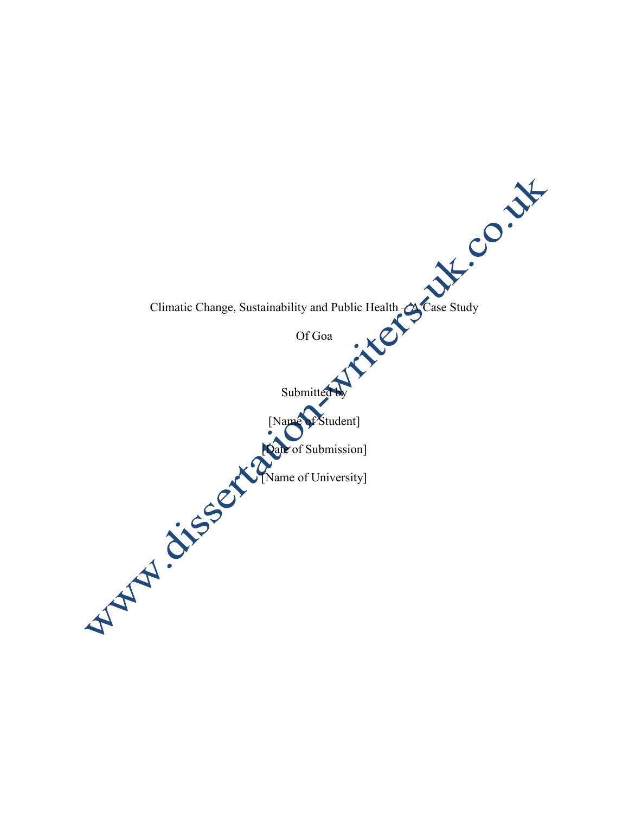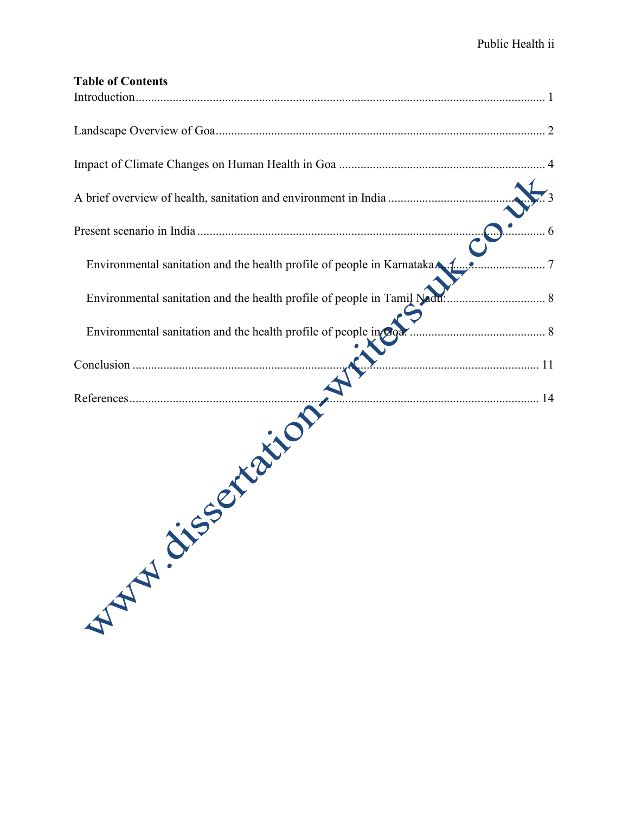| <b>Table of Contents</b>                                               |  |
|------------------------------------------------------------------------|--|
|                                                                        |  |
|                                                                        |  |
|                                                                        |  |
|                                                                        |  |
| Environmental sanitation and the health profile of people in Karnataka |  |
|                                                                        |  |
| Environmental sanitation and the health profile of people in giga.     |  |
|                                                                        |  |
|                                                                        |  |
| References Maritimes                                                   |  |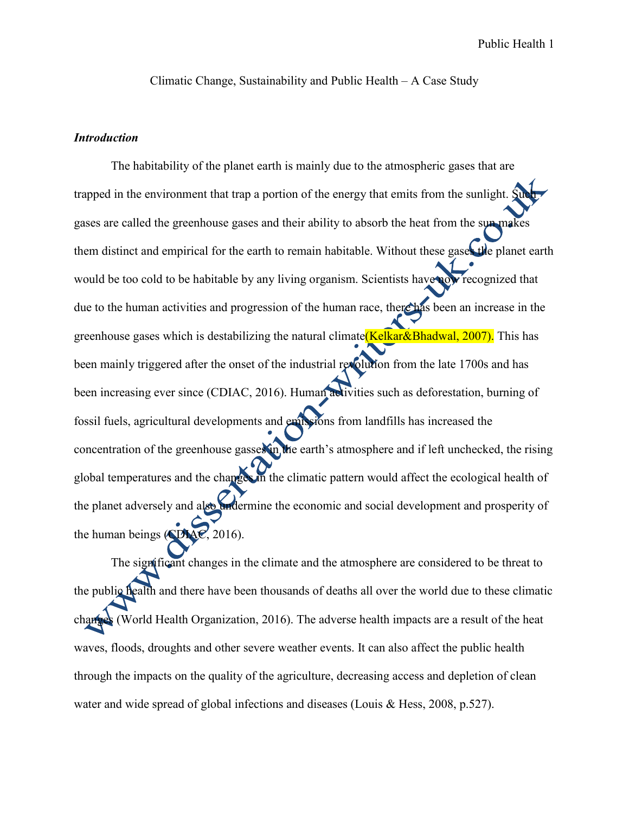Climatic Change, Sustainability and Public Health – A Case Study

### *Introduction*

The habitability of the planet earth is mainly due to the atmospheric gases that are trapped in the environment that trap a portion of the energy that emits from the sunlight.  $\hat{S}$ gases are called the greenhouse gases and their ability to absorb the heat from the sun makes them distinct and empirical for the earth to remain habitable. Without these gases the planet earth would be too cold to be habitable by any living organism. Scientists have now recognized that due to the human activities and progression of the human race, there has been an increase in the greenhouse gases which is destabilizing the natural climate (Kelkar&Bhadwal, 2007). This has been mainly triggered after the onset of the industrial revolution from the late 1700s and has been increasing ever since (CDIAC, 2016). Human activities such as deforestation, burning of fossil fuels, agricultural developments and emissions from landfills has increased the concentration of the greenhouse gasses in the earth's atmosphere and if left unchecked, the rising global temperatures and the changes in the climatic pattern would affect the ecological health of the planet adversely and also undermine the economic and social development and prosperity of the human beings (CDIAC, 2016).

The significant changes in the climate and the atmosphere are considered to be threat to the public health and there have been thousands of deaths all over the world due to these climatic changes (World Health Organization, 2016). The adverse health impacts are a result of the heat waves, floods, droughts and other severe weather events. It can also affect the public health through the impacts on the quality of the agriculture, decreasing access and depletion of clean water and wide spread of global infections and diseases (Louis & Hess, 2008, p.527).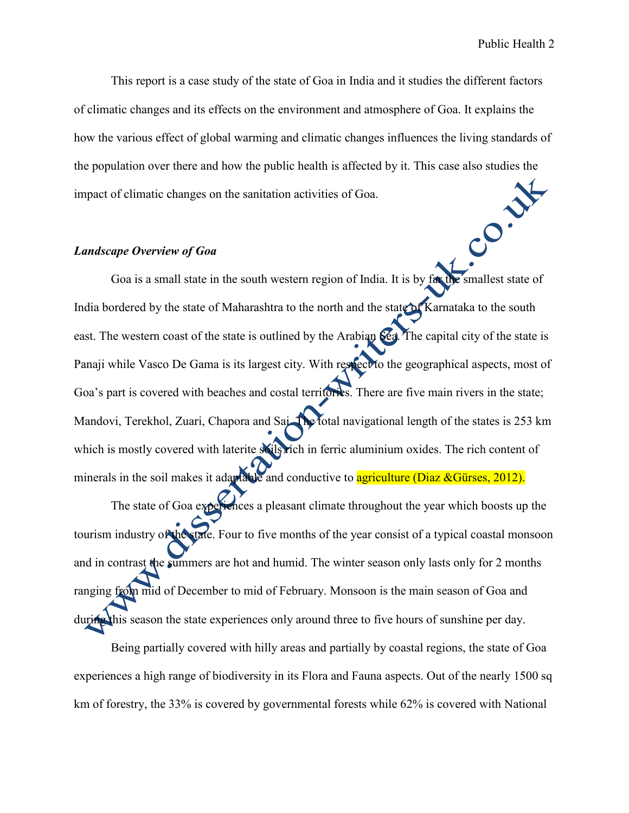This report is a case study of the state of Goa in India and it studies the different factors of climatic changes and its effects on the environment and atmosphere of Goa. It explains the how the various effect of global warming and climatic changes influences the living standards of the population over there and how the public health is affected by it. This case also studies the impact of climatic changes on the sanitation activities of Goa. CON

#### *Landscape Overview of Goa*

Goa is a small state in the south western region of India. It is by far the smallest state of India bordered by the state of Maharashtra to the north and the state of Karnataka to the south east. The western coast of the state is outlined by the Arabian Sea. The capital city of the state is Panaji while Vasco De Gama is its largest city. With respect to the geographical aspects, most of Goa's part is covered with beaches and costal territories. There are five main rivers in the state; Mandovi, Terekhol, Zuari, Chapora and Sai. The total navigational length of the states is 253 km which is mostly covered with laterite soils rich in ferric aluminium oxides. The rich content of minerals in the soil makes it adaptable and conductive to agriculture (Diaz &Gürses, 2012). The state of Goa experiences a pleasant climate throughout the year which boosts up the

tourism industry of the state. Four to five months of the year consist of a typical coastal monsoon and in contrast the summers are hot and humid. The winter season only lasts only for 2 months ranging from mid of December to mid of February. Monsoon is the main season of Goa and during this season the state experiences only around three to five hours of sunshine per day.

Being partially covered with hilly areas and partially by coastal regions, the state of Goa experiences a high range of biodiversity in its Flora and Fauna aspects. Out of the nearly 1500 sq km of forestry, the 33% is covered by governmental forests while 62% is covered with National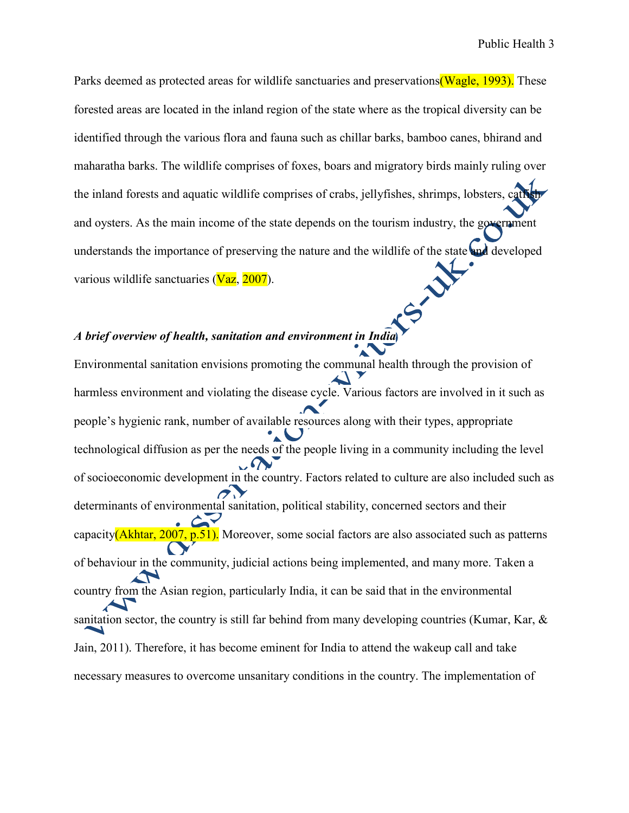Parks deemed as protected areas for wildlife sanctuaries and preservations (Wagle, 1993). These forested areas are located in the inland region of the state where as the tropical diversity can be identified through the various flora and fauna such as chillar barks, bamboo canes, bhirand and maharatha barks. The wildlife comprises of foxes, boars and migratory birds mainly ruling over the inland forests and aquatic wildlife comprises of crabs, jellyfishes, shrimps, lobsters, cath and oysters. As the main income of the state depends on the tourism industry, the government understands the importance of preserving the nature and the wildlife of the state and developed various wildlife sanctuaries (Vaz, 2007).

# *A brief overview of health, sanitation and environment in India*

Environmental sanitation envisions promoting the communal health through the provision of harmless environment and violating the disease cycle. Various factors are involved in it such as people's hygienic rank, number of available resources along with their types, appropriate technological diffusion as per the needs of the people living in a community including the level of socioeconomic development in the country. Factors related to culture are also included such as determinants of environmental sanitation, political stability, concerned sectors and their capacity(Akhtar, 2007, p.51). Moreover, some social factors are also associated such as patterns of behaviour in the community, judicial actions being implemented, and many more. Taken a country from the Asian region, particularly India, it can be said that in the environmental sanitation sector, the country is still far behind from many developing countries (Kumar, Kar, & Jain, 2011). Therefore, it has become eminent for India to attend the wakeup call and take necessary measures to overcome unsanitary conditions in the country. The implementation of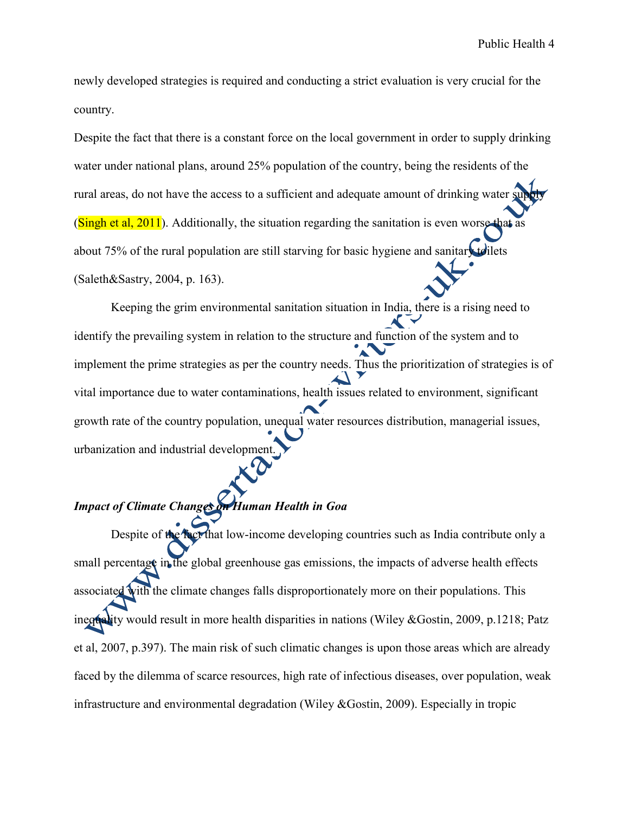newly developed strategies is required and conducting a strict evaluation is very crucial for the country.

Despite the fact that there is a constant force on the local government in order to supply drinking water under national plans, around 25% population of the country, being the residents of the rural areas, do not have the access to a sufficient and adequate amount of drinking water s (Singh et al,  $2011$ ). Additionally, the situation regarding the sanitation is even worse that as about 75% of the rural population are still starving for basic hygiene and sanitary to liets (Saleth&Sastry, 2004, p. 163).

Keeping the grim environmental sanitation situation in India, there is a rising need to identify the prevailing system in relation to the structure and function of the system and to implement the prime strategies as per the country needs. Thus the prioritization of strategies is of vital importance due to water contaminations, health issues related to environment, significant growth rate of the country population, unequal water resources distribution, managerial issues, urbanization and industrial development.

# *Impact of Climate Changes on Human Health in Goa*

Despite of the fact that low-income developing countries such as India contribute only a small percentage in the global greenhouse gas emissions, the impacts of adverse health effects associated with the climate changes falls disproportionately more on their populations. This inequality would result in more health disparities in nations (Wiley &Gostin, 2009, p.1218; Patz et al, 2007, p.397). The main risk of such climatic changes is upon those areas which are already faced by the dilemma of scarce resources, high rate of infectious diseases, over population, weak infrastructure and environmental degradation (Wiley &Gostin, 2009). Especially in tropic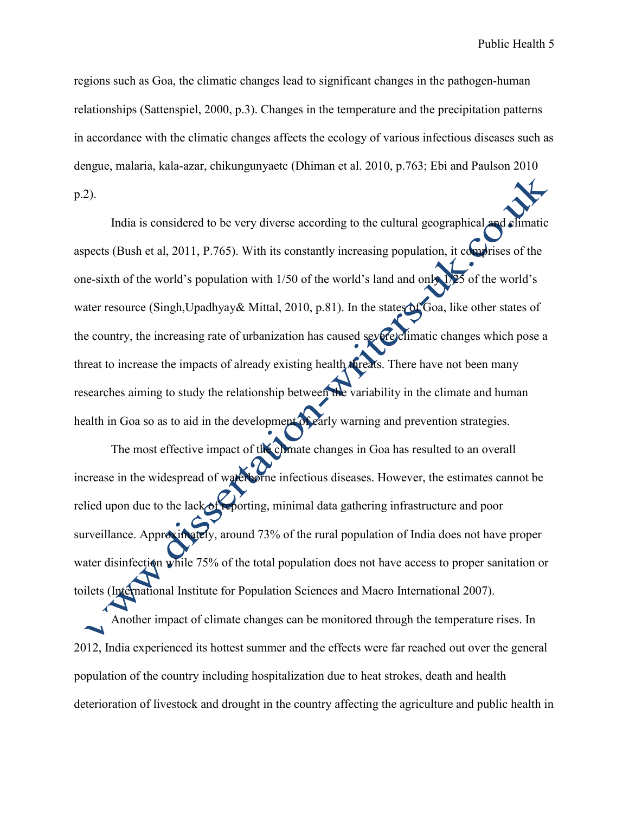regions such as Goa, the climatic changes lead to significant changes in the pathogen-human relationships (Sattenspiel, 2000, p.3). Changes in the temperature and the precipitation patterns in accordance with the climatic changes affects the ecology of various infectious diseases such as dengue, malaria, kala-azar, chikungunyaetc (Dhiman et al. 2010, p.763; Ebi and Paulson 2010 p.2).

India is considered to be very diverse according to the cultural geographical and climatic aspects (Bush et al, 2011, P.765). With its constantly increasing population, it comprises of the one-sixth of the world's population with 1/50 of the world's land and only 1/25 of the world's water resource (Singh,Upadhyay& Mittal, 2010, p.81). In the states of Goa, like other states of the country, the increasing rate of urbanization has caused severe climatic changes which pose a threat to increase the impacts of already existing health threats. There have not been many researches aiming to study the relationship between the variability in the climate and human health in Goa so as to aid in the development of early warning and prevention strategies.

The most effective impact of the climate changes in Goa has resulted to an overall increase in the widespread of waterborne infectious diseases. However, the estimates cannot be relied upon due to the lack of reporting, minimal data gathering infrastructure and poor surveillance. Approximately, around 73% of the rural population of India does not have proper water disinfection while 75% of the total population does not have access to proper sanitation or toilets (International Institute for Population Sciences and Macro International 2007).

Another impact of climate changes can be monitored through the temperature rises. In 2012, India experienced its hottest summer and the effects were far reached out over the general population of the country including hospitalization due to heat strokes, death and health deterioration of livestock and drought in the country affecting the agriculture and public health in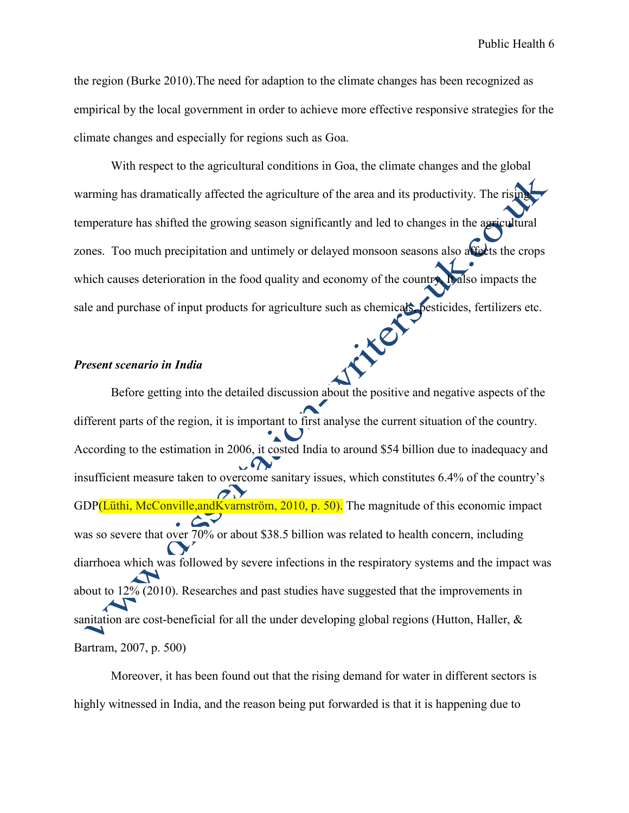the region (Burke 2010).The need for adaption to the climate changes has been recognized as empirical by the local government in order to achieve more effective responsive strategies for the climate changes and especially for regions such as Goa.

With respect to the agricultural conditions in Goa, the climate changes and the global warming has dramatically affected the agriculture of the area and its productivity. The rising temperature has shifted the growing season significantly and led to changes in the agricultural zones. Too much precipitation and untimely or delayed monsoon seasons also affects the crops which causes deterioration in the food quality and economy of the country. It also impacts the sale and purchase of input products for agriculture such as chemicals, pesticides, fertilizers etc.<br> **Present scenario in India** 

#### *Present scenario in India*

Before getting into the detailed discussion about the positive and negative aspects of the different parts of the region, it is important to first analyse the current situation of the country. According to the estimation in 2006, it costed India to around \$54 billion due to inadequacy and insufficient measure taken to overcome sanitary issues, which constitutes 6.4% of the country's GDP(Lüthi, McConville, and Kvarnström, 2010, p. 50). The magnitude of this economic impact was so severe that over 70% or about \$38.5 billion was related to health concern, including diarrhoea which was followed by severe infections in the respiratory systems and the impact was about to 12% (2010). Researches and past studies have suggested that the improvements in sanitation are cost-beneficial for all the under developing global regions (Hutton, Haller, & Bartram, 2007, p. 500)

Moreover, it has been found out that the rising demand for water in different sectors is highly witnessed in India, and the reason being put forwarded is that it is happening due to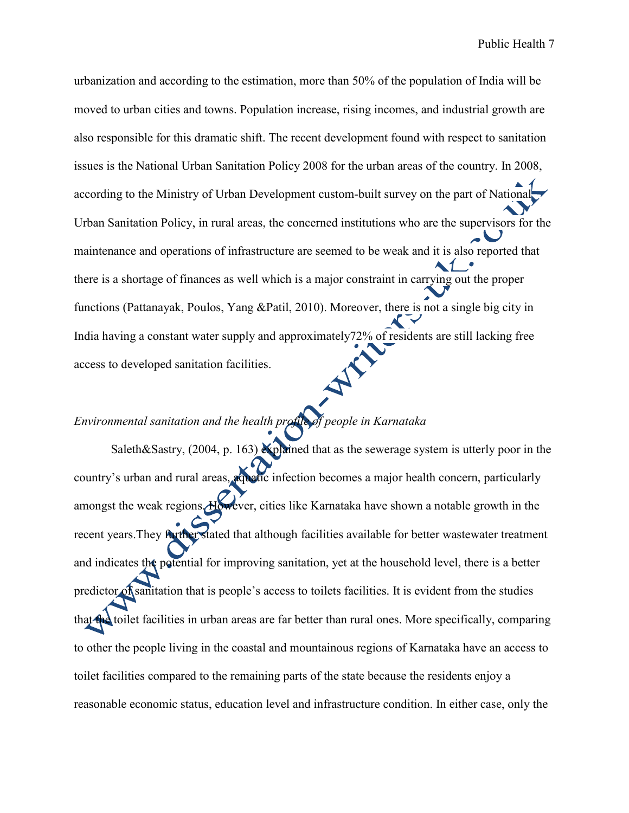urbanization and according to the estimation, more than 50% of the population of India will be moved to urban cities and towns. Population increase, rising incomes, and industrial growth are also responsible for this dramatic shift. The recent development found with respect to sanitation issues is the National Urban Sanitation Policy 2008 for the urban areas of the country. In 2008, according to the Ministry of Urban Development custom-built survey on the part of National Urban Sanitation Policy, in rural areas, the concerned institutions who are the supervisors for the maintenance and operations of infrastructure are seemed to be weak and it is also reported that there is a shortage of finances as well which is a major constraint in carrying out the proper functions (Pattanayak, Poulos, Yang &Patil, 2010). Moreover, there is not a single big city in India having a constant water supply and approximately72% of residents are still lacking free access to developed sanitation facilities.

## *Environmental sanitation and the health profile of people in Karnataka*

Saleth&Sastry, (2004, p. 163) explained that as the sewerage system is utterly poor in the country's urban and rural areas, aquatic infection becomes a major health concern, particularly amongst the weak regions. However, cities like Karnataka have shown a notable growth in the recent years. They further stated that although facilities available for better wastewater treatment and indicates the potential for improving sanitation, yet at the household level, there is a better predictor of sanitation that is people's access to toilets facilities. It is evident from the studies that the toilet facilities in urban areas are far better than rural ones. More specifically, comparing to other the people living in the coastal and mountainous regions of Karnataka have an access to toilet facilities compared to the remaining parts of the state because the residents enjoy a reasonable economic status, education level and infrastructure condition. In either case, only the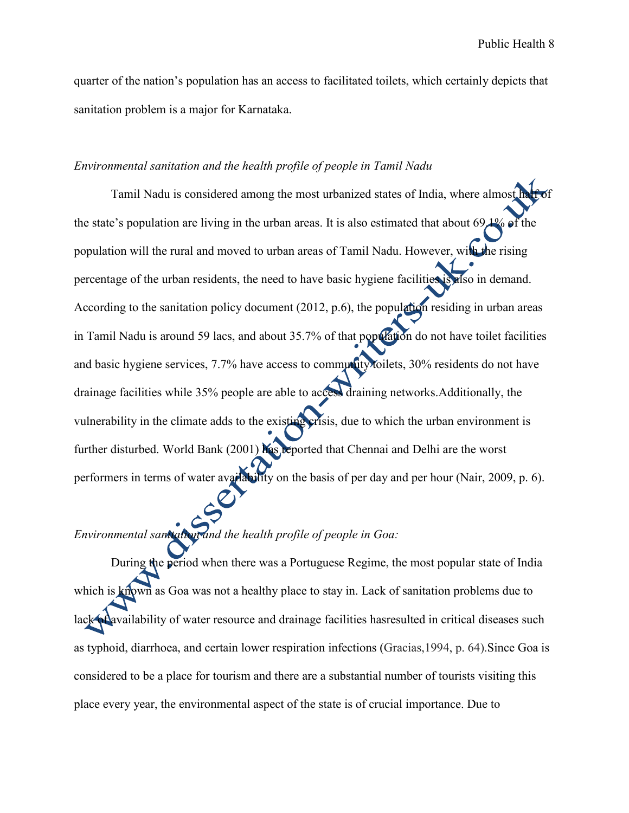quarter of the nation's population has an access to facilitated toilets, which certainly depicts that sanitation problem is a major for Karnataka.

### *Environmental sanitation and the health profile of people in Tamil Nadu*

Tamil Nadu is considered among the most urbanized states of India, where almost half of the state's population are living in the urban areas. It is also estimated that about 69.1% of the population will the rural and moved to urban areas of Tamil Nadu. However, with the rising percentage of the urban residents, the need to have basic hygiene facilities is also in demand. According to the sanitation policy document (2012, p.6), the population residing in urban areas in Tamil Nadu is around 59 lacs, and about 35.7% of that population do not have toilet facilities and basic hygiene services, 7.7% have access to community toilets, 30% residents do not have drainage facilities while 35% people are able to access draining networks.Additionally, the vulnerability in the climate adds to the existing crisis, due to which the urban environment is further disturbed. World Bank (2001) has reported that Chennai and Delhi are the worst performers in terms of water availability on the basis of per day and per hour (Nair, 2009, p. 6).

## *Environmental sanitation and the health profile of people in Goa:*

During the period when there was a Portuguese Regime, the most popular state of India which is known as Goa was not a healthy place to stay in. Lack of sanitation problems due to lack of availability of water resource and drainage facilities has resulted in critical diseases such as typhoid, diarrhoea, and certain lower respiration infections (Gracias,1994, p. 64).Since Goa is considered to be a place for tourism and there are a substantial number of tourists visiting this place every year, the environmental aspect of the state is of crucial importance. Due to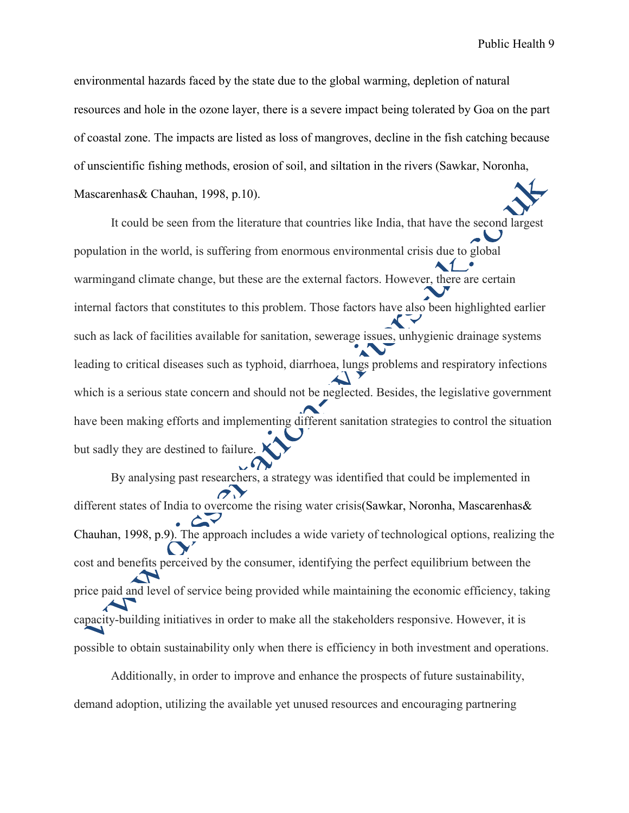environmental hazards faced by the state due to the global warming, depletion of natural resources and hole in the ozone layer, there is a severe impact being tolerated by Goa on the part of coastal zone. The impacts are listed as loss of mangroves, decline in the fish catching because of unscientific fishing methods, erosion of soil, and siltation in the rivers (Sawkar, Noronha, Mascarenhas& Chauhan, 1998, p.10).

It could be seen from the literature that countries like India, that have the second largest population in the world, is suffering from enormous environmental crisis due to global warmingand climate change, but these are the external factors. However, there are certain internal factors that constitutes to this problem. Those factors have also been highlighted earlier such as lack of facilities available for sanitation, sewerage issues, unhygienic drainage systems leading to critical diseases such as typhoid, diarrhoea, lungs problems and respiratory infections which is a serious state concern and should not be neglected. Besides, the legislative government have been making efforts and implementing different sanitation strategies to control the situation but sadly they are destined to failure.

By analysing past researchers, a strategy was identified that could be implemented in different states of India to overcome the rising water crisis(Sawkar, Noronha, Mascarenhas & Chauhan, 1998, p.9). The approach includes a wide variety of technological options, realizing the cost and benefits perceived by the consumer, identifying the perfect equilibrium between the price paid and level of service being provided while maintaining the economic efficiency, taking capacity-building initiatives in order to make all the stakeholders responsive. However, it is possible to obtain sustainability only when there is efficiency in both investment and operations.

Additionally, in order to improve and enhance the prospects of future sustainability, demand adoption, utilizing the available yet unused resources and encouraging partnering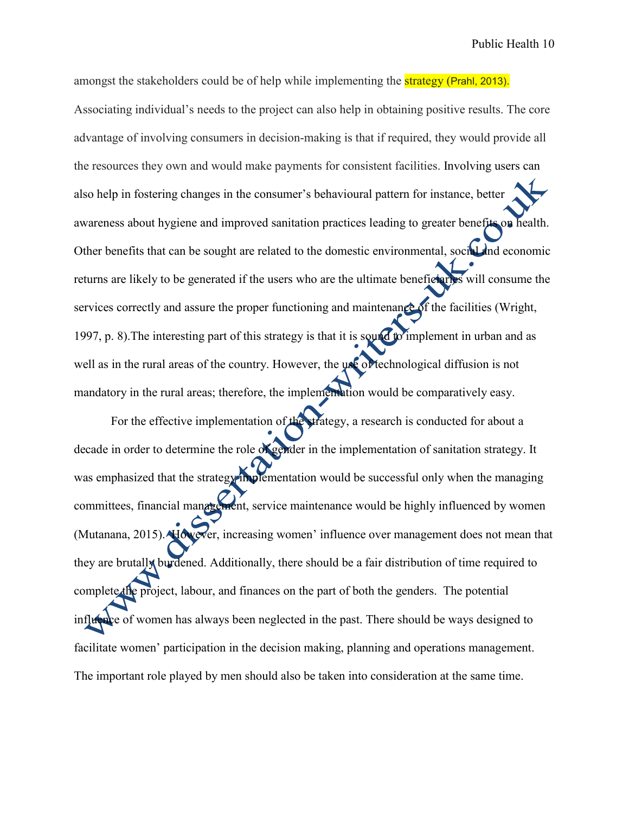amongst the stakeholders could be of help while implementing the strategy (Prahl, 2013). Associating individual's needs to the project can also help in obtaining positive results. The core advantage of involving consumers in decision-making is that if required, they would provide all the resources they own and would make payments for consistent facilities. Involving users can also help in fostering changes in the consumer's behavioural pattern for instance, better awareness about hygiene and improved sanitation practices leading to greater benefits on health. Other benefits that can be sought are related to the domestic environmental, social and economic returns are likely to be generated if the users who are the ultimate beneficiaries will consume the services correctly and assure the proper functioning and maintenance of the facilities (Wright, 1997, p. 8). The interesting part of this strategy is that it is sound to implement in urban and as well as in the rural areas of the country. However, the use of technological diffusion is not mandatory in the rural areas; therefore, the implementation would be comparatively easy.

For the effective implementation of the strategy, a research is conducted for about a decade in order to determine the role of gender in the implementation of sanitation strategy. It was emphasized that the strategy implementation would be successful only when the managing committees, financial management, service maintenance would be highly influenced by women (Mutanana, 2015). However, increasing women' influence over management does not mean that they are brutally burdened. Additionally, there should be a fair distribution of time required to complete the project, labour, and finances on the part of both the genders. The potential influence of women has always been neglected in the past. There should be ways designed to facilitate women' participation in the decision making, planning and operations management. The important role played by men should also be taken into consideration at the same time.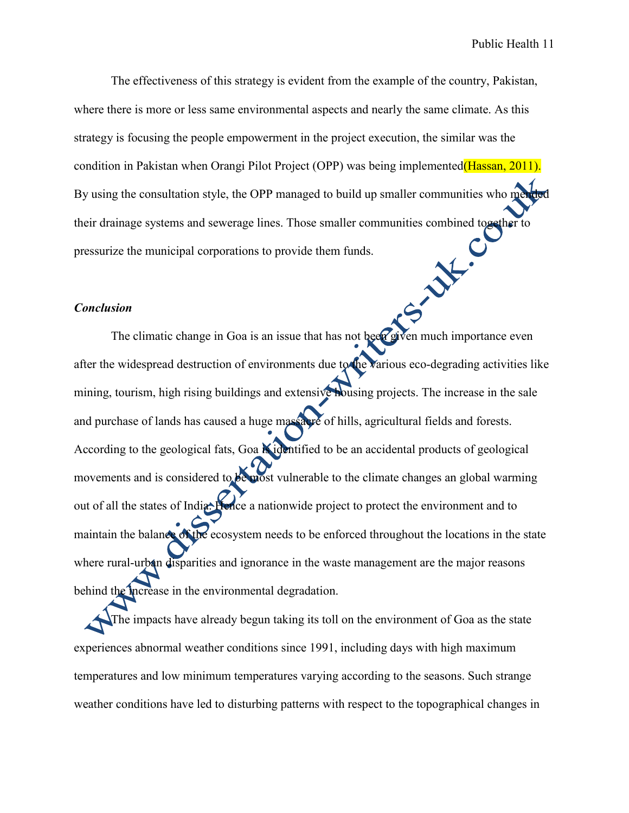The effectiveness of this strategy is evident from the example of the country, Pakistan, where there is more or less same environmental aspects and nearly the same climate. As this strategy is focusing the people empowerment in the project execution, the similar was the condition in Pakistan when Orangi Pilot Project (OPP) was being implemented(Hassan, 2011). By using the consultation style, the OPP managed to build up smaller communities who men their drainage systems and sewerage lines. Those smaller communities combined together to<br>pressurize the municipal corporations to provide them funds. pressurize the municipal corporations to provide them funds.

### *Conclusion*

The climatic change in Goa is an issue that has not been given much importance even after the widespread destruction of environments due to the various eco-degrading activities like mining, tourism, high rising buildings and extensive housing projects. The increase in the sale and purchase of lands has caused a huge massacre of hills, agricultural fields and forests. According to the geological fats, Goa  $\mathbb{N}$  identified to be an accidental products of geological movements and is considered to be most vulnerable to the climate changes an global warming out of all the states of India. Hence a nationwide project to protect the environment and to maintain the balance of the ecosystem needs to be enforced throughout the locations in the state where rural-urban disparities and ignorance in the waste management are the major reasons behind the increase in the environmental degradation.

The impacts have already begun taking its toll on the environment of Goa as the state experiences abnormal weather conditions since 1991, including days with high maximum temperatures and low minimum temperatures varying according to the seasons. Such strange weather conditions have led to disturbing patterns with respect to the topographical changes in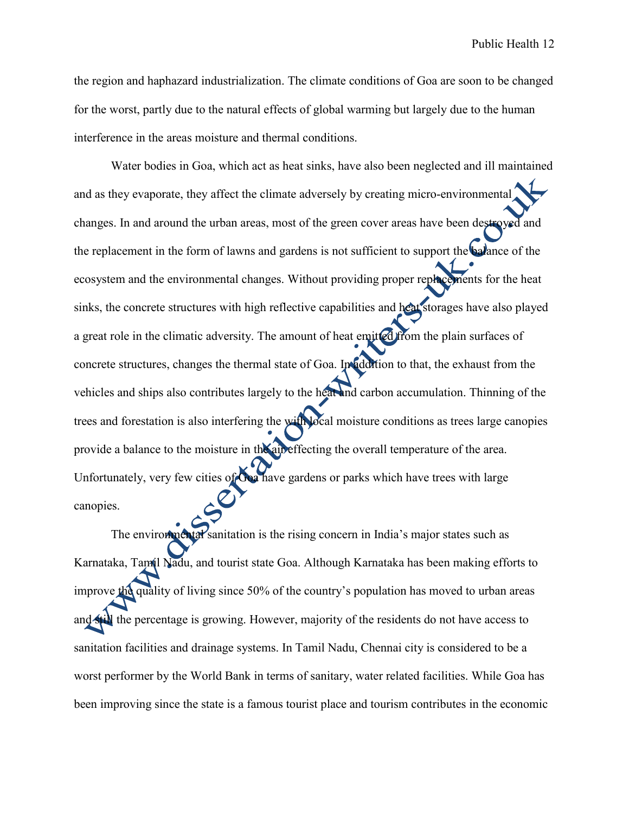the region and haphazard industrialization. The climate conditions of Goa are soon to be changed for the worst, partly due to the natural effects of global warming but largely due to the human interference in the areas moisture and thermal conditions.

Water bodies in Goa, which act as heat sinks, have also been neglected and ill maintained and as they evaporate, they affect the climate adversely by creating micro-environmental changes. In and around the urban areas, most of the green cover areas have been destroyed and the replacement in the form of lawns and gardens is not sufficient to support the balance of the ecosystem and the environmental changes. Without providing proper replacements for the heat sinks, the concrete structures with high reflective capabilities and heat storages have also played a great role in the climatic adversity. The amount of heat emitted from the plain surfaces of concrete structures, changes the thermal state of Goa. In addition to that, the exhaust from the vehicles and ships also contributes largely to the heat and carbon accumulation. Thinning of the trees and forestation is also interfering the with local moisture conditions as trees large canopies provide a balance to the moisture in the air effecting the overall temperature of the area. Unfortunately, very few cities of Goa have gardens or parks which have trees with large canopies.

The environmental sanitation is the rising concern in India's major states such as Karnataka, Tamil Nadu, and tourist state Goa. Although Karnataka has been making efforts to improve the quality of living since 50% of the country's population has moved to urban areas and still the percentage is growing. However, majority of the residents do not have access to sanitation facilities and drainage systems. In Tamil Nadu, Chennai city is considered to be a worst performer by the World Bank in terms of sanitary, water related facilities. While Goa has been improving since the state is a famous tourist place and tourism contributes in the economic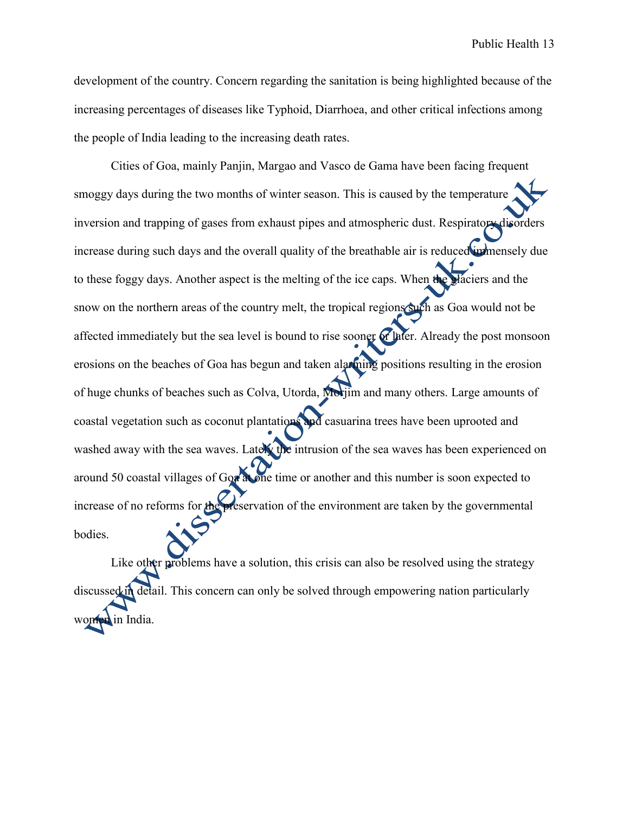development of the country. Concern regarding the sanitation is being highlighted because of the increasing percentages of diseases like Typhoid, Diarrhoea, and other critical infections among the people of India leading to the increasing death rates.

Cities of Goa, mainly Panjin, Margao and Vasco de Gama have been facing frequent smoggy days during the two months of winter season. This is caused by the temperature inversion and trapping of gases from exhaust pipes and atmospheric dust. Respiratory disorders increase during such days and the overall quality of the breathable air is reduced immensely due to these foggy days. Another aspect is the melting of the ice caps. When the glaciers and the snow on the northern areas of the country melt, the tropical regions such as Goa would not be affected immediately but the sea level is bound to rise sooner or later. Already the post monsoon erosions on the beaches of Goa has begun and taken alarming positions resulting in the erosion of huge chunks of beaches such as Colva, Utorda, Morjim and many others. Large amounts of coastal vegetation such as coconut plantations and casuarina trees have been uprooted and washed away with the sea waves. Lately the intrusion of the sea waves has been experienced on around 50 coastal villages of Goa at one time or another and this number is soon expected to increase of no reforms for the preservation of the environment are taken by the governmental bodies.

Like other problems have a solution, this crisis can also be resolved using the strategy discussed in detail. This concern can only be solved through empowering nation particularly in India.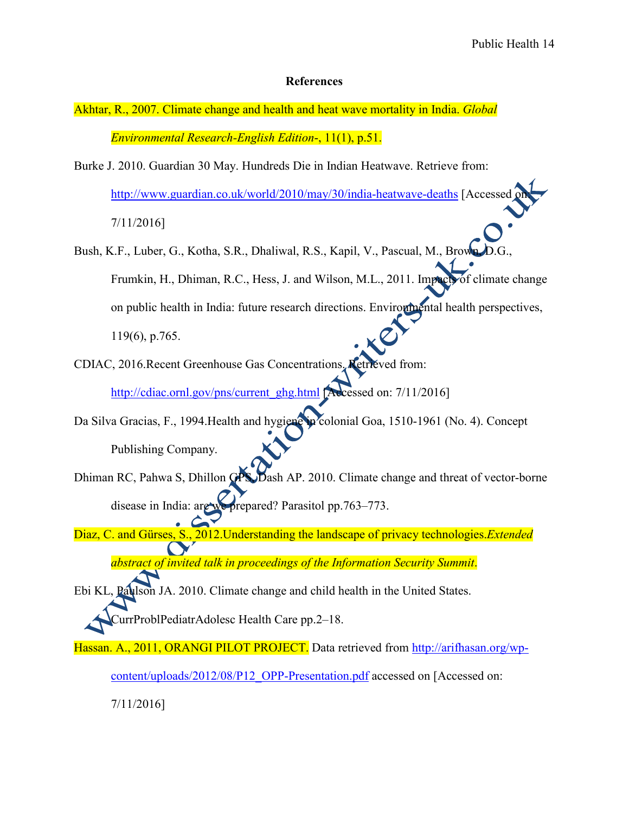### **References**

- Akhtar, R., 2007. Climate change and health and heat wave mortality in India. *Global Environmental Research-English Edition*-, 11(1), p.51.
- Burke J. 2010. Guardian 30 May. Hundreds Die in Indian Heatwave. Retrieve from: http://www.guardian.co.uk/world/2010/may/30/india-heatwave-deaths [Accessed

7/11/2016]

- Bush, K.F., Luber, G., Kotha, S.R., Dhaliwal, R.S., Kapil, V., Pascual, M., Brown, D. Frumkin, H., Dhiman, R.C., Hess, J. and Wilson, M.L., 2011. Impacts of climate change on public health in India: future research directions. Environmental health perspectives, 119(6), p.765.
- CDIAC, 2016.Recent Greenhouse Gas Concentrations. Retrieved from: http://cdiac.ornl.gov/pns/current\_ghg.html [Accessed on: 7/11/2016]
- Da Silva Gracias, F., 1994.Health and hygiene in colonial Goa, 1510-1961 (No. 4). Concept Publishing Company.
- Dhiman RC, Pahwa S, Dhillon GPS, Dash AP. 2010. Climate change and threat of vector-borne disease in India: are we prepared? Parasitol pp.763–773.
- Diaz, C. and Gürses, S., 2012. Understanding the landscape of privacy technologies. *Extended abstract of invited talk in proceedings of the Information Security Summit*.

Ebi KL, Paulson JA. 2010. Climate change and child health in the United States. CurrProblPediatrAdolesc Health Care pp.2–18.

- Hassan. A., 2011, ORANGI PILOT PROJECT. Data retrieved from http://arifhasan.org/wp
	- content/uploads/2012/08/P12\_OPP-Presentation.pdf accessed on [Accessed on:

7/11/2016]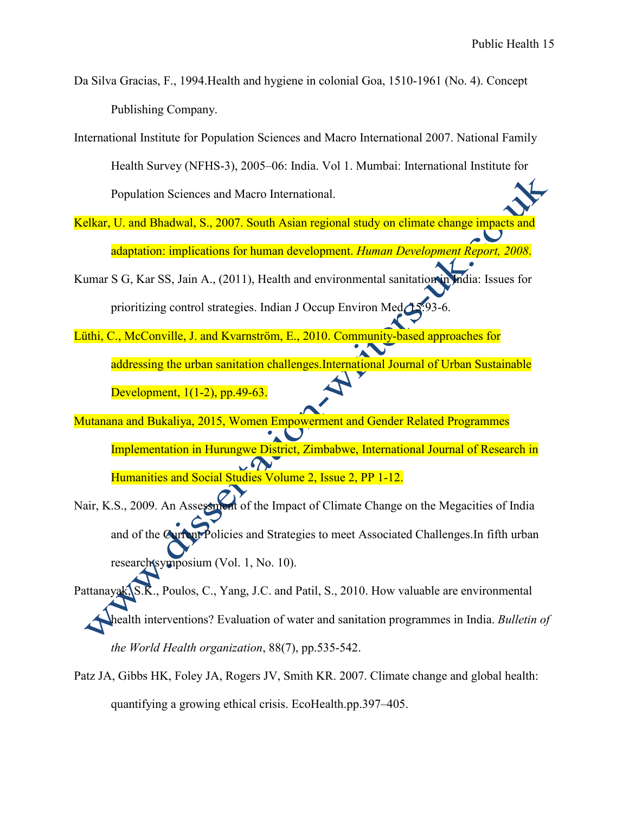Da Silva Gracias, F., 1994.Health and hygiene in colonial Goa, 1510-1961 (No. 4). Concept Publishing Company.

International Institute for Population Sciences and Macro International 2007. National Family Health Survey (NFHS-3), 2005–06: India. Vol 1. Mumbai: International Institute for Population Sciences and Macro International.

- Kelkar, U. and Bhadwal, S., 2007. South Asian regional study on climate change impacts and adaptation: implications for human development. *Human Development Report, 2008*.
- Kumar S G, Kar SS, Jain A., (2011), Health and environmental sanitation in India: Issues for prioritizing control strategies. Indian J Occup Environ Med
- Lüthi, C., McConville, J. and Kvarnström, E., 2010. Community-based approaches for addressing the urban sanitation challenges.International Journal of Urban Sustainable Development, 1(1-2), pp.49-63.
- Mutanana and Bukaliya, 2015, Women Empowerment and Gender Related Programmes Implementation in Hurungwe District, Zimbabwe, International Journal of Research in Humanities and Social Studies Volume 2, Issue 2, PP 1-12.
- Nair, K.S., 2009. An Assessment of the Impact of Climate Change on the Megacities of India and of the Current Policies and Strategies to meet Associated Challenges. In fifth urban research symposium (Vol. 1, No. 10).

Pattanayak, S.K., Poulos, C., Yang, J.C. and Patil, S., 2010. How valuable are environmental health interventions? Evaluation of water and sanitation programmes in India. *Bulletin of the World Health organization*, 88(7), pp.535-542.

Patz JA, Gibbs HK, Foley JA, Rogers JV, Smith KR. 2007. Climate change and global health: quantifying a growing ethical crisis. EcoHealth.pp.397–405.